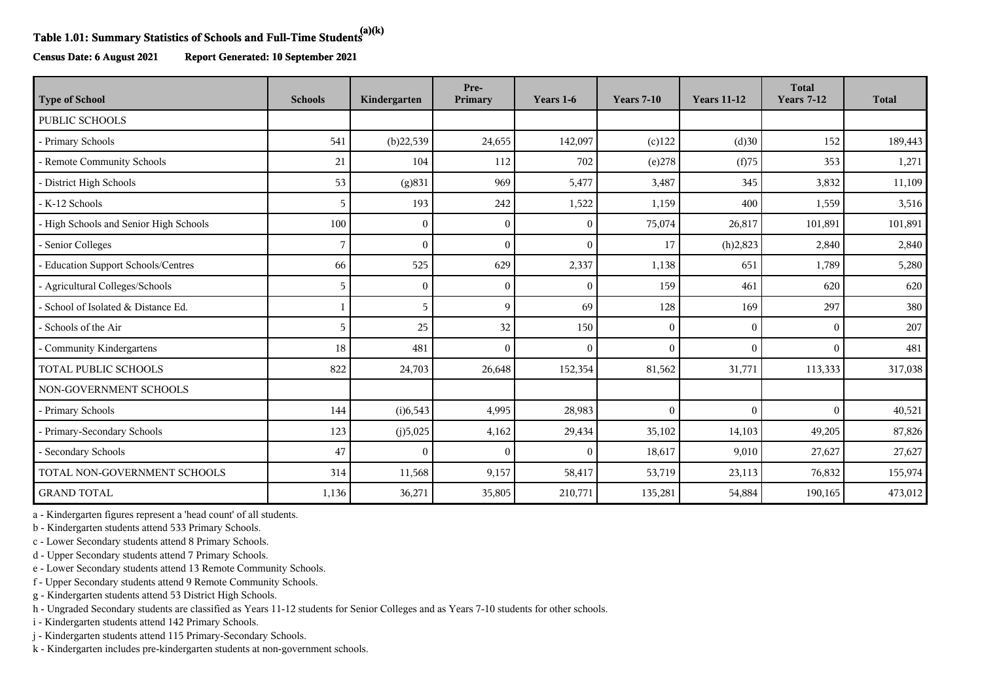## **Table 1.01: Summary Statistics of Schools and Full-Time Students(a)(k)**

**Census Date: 6 August 2021 Report Generated: 10 September 2021**

| <b>Type of School</b>                  | <b>Schools</b> | Kindergarten | Pre-<br>Primary | Years 1-6      | <b>Years 7-10</b> | <b>Years 11-12</b> | <b>Total</b><br><b>Years 7-12</b> | <b>Total</b> |
|----------------------------------------|----------------|--------------|-----------------|----------------|-------------------|--------------------|-----------------------------------|--------------|
| PUBLIC SCHOOLS                         |                |              |                 |                |                   |                    |                                   |              |
| - Primary Schools                      | 541            | (b)22,539    | 24,655          | 142,097        | $(c)$ 122         | (d)30              | 152                               | 189,443      |
| - Remote Community Schools             | 21             | 104          | 112             | 702            | (e)278            | (f)75              | 353                               | 1,271        |
| District High Schools                  | 53             | (g)831       | 969             | 5,477          | 3,487             | 345                | 3,832                             | 11,109       |
| - K-12 Schools                         | 5              | 193          | 242             | 1,522          | 1,159             | 400                | 1,559                             | 3,516        |
| - High Schools and Senior High Schools | 100            | $\Omega$     | $\Omega$        | $\mathbf{0}$   | 75,074            | 26,817             | 101,891                           | 101,891      |
| - Senior Colleges                      | 7              | $\Omega$     | $\Omega$        | $\theta$       | 17                | (h)2,823           | 2,840                             | 2,840        |
| - Education Support Schools/Centres    | 66             | 525          | 629             | 2,337          | 1,138             | 651                | 1,789                             | 5,280        |
| - Agricultural Colleges/Schools        | 5              | $\Omega$     | $\Omega$        | $\mathbf{0}$   | 159               | 461                | 620                               | 620          |
| - School of Isolated & Distance Ed.    |                | 5            | 9               | 69             | 128               | 169                | 297                               | 380          |
| - Schools of the Air                   | 5              | 25           | 32              | 150            | $\mathbf{0}$      | $\overline{0}$     | $\Omega$                          | 207          |
| - Community Kindergartens              | 18             | 481          | $\Omega$        | $\overline{0}$ | $\mathbf{0}$      | $\theta$           | $\Omega$                          | 481          |
| <b>TOTAL PUBLIC SCHOOLS</b>            | 822            | 24,703       | 26,648          | 152,354        | 81,562            | 31,771             | 113,333                           | 317,038      |
| NON-GOVERNMENT SCHOOLS                 |                |              |                 |                |                   |                    |                                   |              |
| - Primary Schools                      | 144            | (i)6,543     | 4,995           | 28,983         | $\Omega$          | $\theta$           | $\Omega$                          | 40,521       |
| - Primary-Secondary Schools            | 123            | (j)5,025     | 4,162           | 29,434         | 35,102            | 14,103             | 49,205                            | 87,826       |
| - Secondary Schools                    | 47             | $\Omega$     | $\sqrt{ }$      | $\mathbf{0}$   | 18,617            | 9,010              | 27,627                            | 27,627       |
| TOTAL NON-GOVERNMENT SCHOOLS           | 314            | 11,568       | 9,157           | 58,417         | 53,719            | 23,113             | 76,832                            | 155,974      |
| <b>GRAND TOTAL</b>                     | 1,136          | 36,271       | 35,805          | 210,771        | 135,281           | 54,884             | 190,165                           | 473,012      |

a - Kindergarten figures represent a 'head count' of all students.

b - Kindergarten students attend 533 Primary Schools.

c - Lower Secondary students attend 8 Primary Schools.

d - Upper Secondary students attend 7 Primary Schools.

e - Lower Secondary students attend 13 Remote Community Schools.

f - Upper Secondary students attend 9 Remote Community Schools.

g - Kindergarten students attend 53 District High Schools.

h - Ungraded Secondary students are classified as Years 11-12 students for Senior Colleges and as Years 7-10 students for other schools.

i - Kindergarten students attend 142 Primary Schools.

j - Kindergarten students attend 115 Primary-Secondary Schools.

k - Kindergarten includes pre-kindergarten students at non-government schools.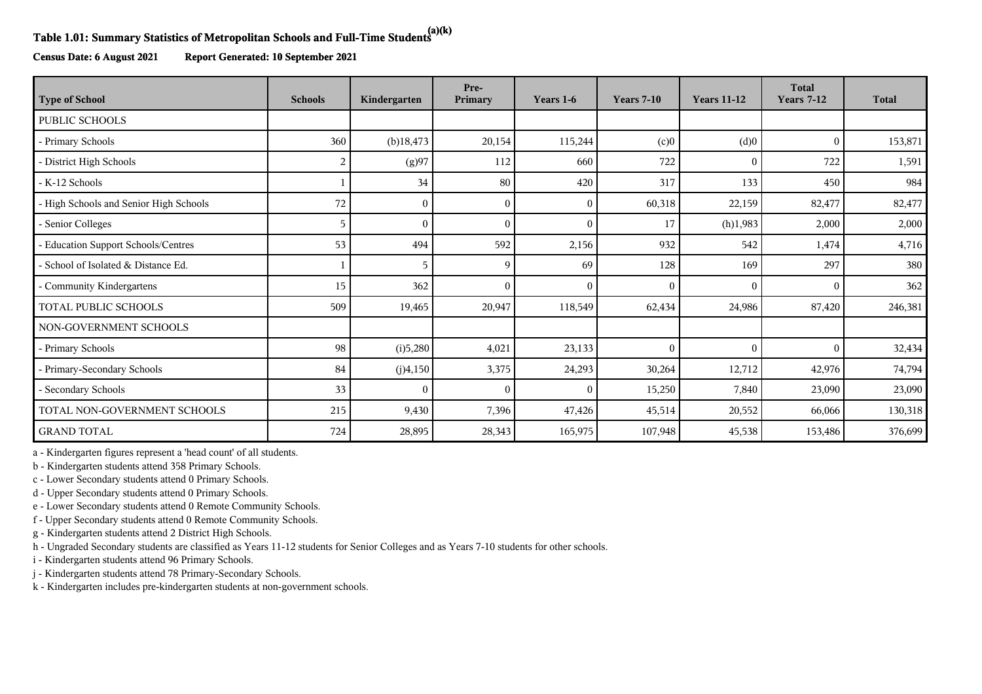## **Table 1.01: Summary Statistics of Metropolitan Schools and Full-Time Students(a)(k)**

**Census Date: 6 August 2021 Report Generated: 10 September 2021**

| <b>Type of School</b>                  | <b>Schools</b> | Kindergarten | Pre-<br>Primary | Years 1-6    | <b>Years 7-10</b> | <b>Years 11-12</b> | <b>Total</b><br><b>Years 7-12</b> | <b>Total</b> |
|----------------------------------------|----------------|--------------|-----------------|--------------|-------------------|--------------------|-----------------------------------|--------------|
| PUBLIC SCHOOLS                         |                |              |                 |              |                   |                    |                                   |              |
| - Primary Schools                      | 360            | $(b)$ 18,473 | 20,154          | 115,244      | (c)0              | (d)0               | $\theta$                          | 153,871      |
| - District High Schools                | $\overline{2}$ | (g)97        | 112             | 660          | 722               | $\mathbf{0}$       | 722                               | 1,591        |
| - K-12 Schools                         |                | 34           | 80              | 420          | 317               | 133                | 450                               | 984          |
| - High Schools and Senior High Schools | 72             | $\Omega$     | $\Omega$        | $\mathbf{0}$ | 60,318            | 22,159             | 82,477                            | 82,477       |
| - Senior Colleges                      | 5              |              |                 | $\mathbf{0}$ | 17                | (h)1,983           | 2,000                             | 2,000        |
| - Education Support Schools/Centres    | 53             | 494          | 592             | 2,156        | 932               | 542                | 1,474                             | 4,716        |
| - School of Isolated & Distance Ed.    |                | 5            | q               | 69           | 128               | 169                | 297                               | 380          |
| Community Kindergartens                | 15             | 362          | 0               | $\theta$     | $\Omega$          | $\Omega$           | $\Omega$                          | 362          |
| TOTAL PUBLIC SCHOOLS                   | 509            | 19,465       | 20,947          | 118,549      | 62,434            | 24,986             | 87,420                            | 246,381      |
| NON-GOVERNMENT SCHOOLS                 |                |              |                 |              |                   |                    |                                   |              |
| - Primary Schools                      | 98             | (i)5,280     | 4,021           | 23,133       | $\mathbf{0}$      | $\mathbf{0}$       | $\Omega$                          | 32,434       |
| - Primary-Secondary Schools            | 84             | (j)4,150     | 3,375           | 24,293       | 30,264            | 12,712             | 42,976                            | 74,794       |
| - Secondary Schools                    | 33             |              | $\Omega$        | $\mathbf{0}$ | 15,250            | 7,840              | 23,090                            | 23,090       |
| TOTAL NON-GOVERNMENT SCHOOLS           | 215            | 9,430        | 7,396           | 47,426       | 45,514            | 20,552             | 66,066                            | 130,318      |
| <b>GRAND TOTAL</b>                     | 724            | 28,895       | 28,343          | 165,975      | 107,948           | 45,538             | 153,486                           | 376,699      |

a - Kindergarten figures represent a 'head count' of all students.

b - Kindergarten students attend 358 Primary Schools.

c - Lower Secondary students attend 0 Primary Schools.

d - Upper Secondary students attend 0 Primary Schools.

e - Lower Secondary students attend 0 Remote Community Schools.

f - Upper Secondary students attend 0 Remote Community Schools.

g - Kindergarten students attend 2 District High Schools.

h - Ungraded Secondary students are classified as Years 11-12 students for Senior Colleges and as Years 7-10 students for other schools.

i - Kindergarten students attend 96 Primary Schools.

j - Kindergarten students attend 78 Primary-Secondary Schools.

k - Kindergarten includes pre-kindergarten students at non-government schools.